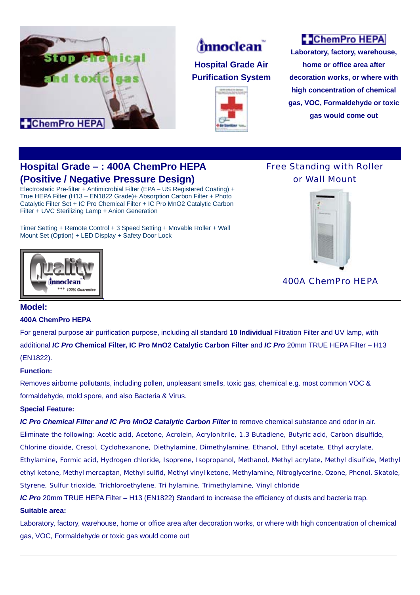



## **Hospital Grade Air Purification System**



# **C** ChemPro HEPA

**Laboratory, factory, warehouse, home or office area after decoration works, or where with high concentration of chemical gas, VOC, Formaldehyde or toxic gas would come out**

## **Hospital Grade – : 400A ChemPro HEPA (Positive / Negative Pressure Design)**

Electrostatic Pre-filter + Antimicrobial Filter (EPA – US Registered Coating) + True HEPA Filter (H13 – EN1822 Grade)+ Absorption Carbon Filter + Photo Catalytic Filter Set + IC Pro Chemical Filter + IC Pro MnO2 Catalytic Carbon Filter + UVC Sterilizing Lamp + Anion Generation

Timer Setting + Remote Control + 3 Speed Setting + Movable Roller + Wall Mount Set (Option) + LED Display + Safety Door Lock

,





400A ChemPro HEPA

### **Model:**

### **400A ChemPro HEPA**

\*\*\* 100% Guarant

For general purpose air purification purpose, including all standard **10 Individual** Filtration Filter and UV lamp, with additional *IC Pro* **Chemical Filter, IC Pro MnO2 Catalytic Carbon Filter** and *IC Pro* 20mm TRUE HEPA Filter – H13 (EN1822).

### **Function:**

Removes airborne pollutants, including pollen, unpleasant smells, toxic gas, chemical e.g. most common VOC & formaldehyde, mold spore, and also Bacteria & Virus.

### **Special Feature:**

*IC Pro Chemical Filter and IC Pro MnO2 Catalytic Carbon Filter* to remove chemical substance and odor in air.

Eliminate the following: Acetic acid, Acetone, Acrolein, Acrylonitrile, 1.3 Butadiene, Butyric acid, Carbon disulfide, Chlorine dioxide, Cresol, Cyclohexanone, Diethylamine, Dimethylamine, Ethanol, Ethyl acetate, Ethyl acrylate, Ethylamine, Formic acid, Hydrogen chloride, Isoprene, Isopropanol, Methanol, Methyl acrylate, Methyl disulfide, Methyl

ethyl ketone, Methyl mercaptan, Methyl sulfid, Methyl vinyl ketone, Methylamine, Nitroglycerine, Ozone, Phenol, Skatole, Styrene, Sulfur trioxide, Trichloroethylene, Tri hylamine, Trimethylamine, Vinyl chloride

*IC Pro* 20mm TRUE HEPA Filter – H13 (EN1822) Standard to increase the efficiency of dusts and bacteria trap.

#### **Suitable area:**

Laboratory, factory, warehouse, home or office area after decoration works, or where with high concentration of chemical gas, VOC, Formaldehyde or toxic gas would come out